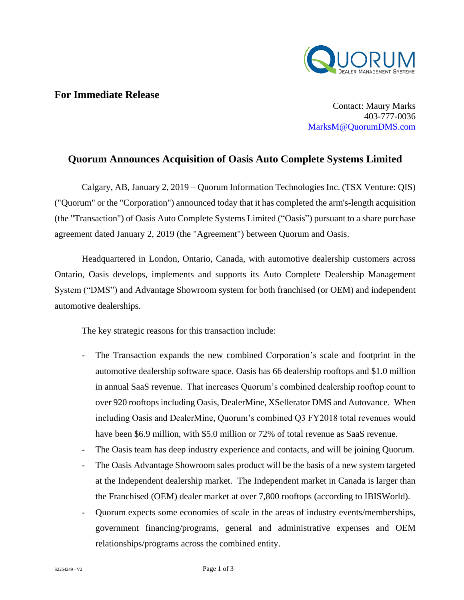

## **For Immediate Release**

Contact: Maury Marks 403-777-0036 [MarksM@QuorumDMS.com](mailto:MarksM@QuorumDMS.com)

## **Quorum Announces Acquisition of Oasis Auto Complete Systems Limited**

Calgary, AB, January 2, 2019 – Quorum Information Technologies Inc. (TSX Venture: QIS) ("Quorum" or the "Corporation") announced today that it has completed the arm's-length acquisition (the "Transaction") of Oasis Auto Complete Systems Limited ("Oasis") pursuant to a share purchase agreement dated January 2, 2019 (the "Agreement") between Quorum and Oasis.

Headquartered in London, Ontario, Canada, with automotive dealership customers across Ontario, Oasis develops, implements and supports its Auto Complete Dealership Management System ("DMS") and Advantage Showroom system for both franchised (or OEM) and independent automotive dealerships.

The key strategic reasons for this transaction include:

- The Transaction expands the new combined Corporation's scale and footprint in the automotive dealership software space. Oasis has 66 dealership rooftops and \$1.0 million in annual SaaS revenue. That increases Quorum's combined dealership rooftop count to over 920 rooftops including Oasis, DealerMine, XSellerator DMS and Autovance. When including Oasis and DealerMine, Quorum's combined Q3 FY2018 total revenues would have been \$6.9 million, with \$5.0 million or 72% of total revenue as SaaS revenue.
- The Oasis team has deep industry experience and contacts, and will be joining Quorum.
- The Oasis Advantage Showroom sales product will be the basis of a new system targeted at the Independent dealership market. The Independent market in Canada is larger than the Franchised (OEM) dealer market at over 7,800 rooftops (according to IBISWorld).
- Quorum expects some economies of scale in the areas of industry events/memberships, government financing/programs, general and administrative expenses and OEM relationships/programs across the combined entity.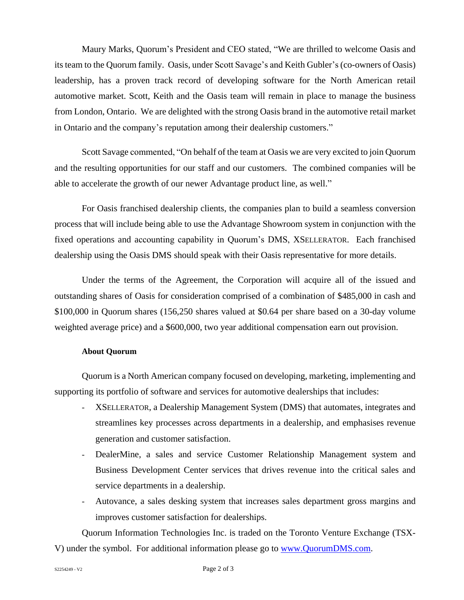Maury Marks, Quorum's President and CEO stated, "We are thrilled to welcome Oasis and its team to the Quorum family. Oasis, under Scott Savage's and Keith Gubler's (co-owners of Oasis) leadership, has a proven track record of developing software for the North American retail automotive market. Scott, Keith and the Oasis team will remain in place to manage the business from London, Ontario. We are delighted with the strong Oasis brand in the automotive retail market in Ontario and the company's reputation among their dealership customers."

Scott Savage commented, "On behalf of the team at Oasis we are very excited to join Quorum and the resulting opportunities for our staff and our customers. The combined companies will be able to accelerate the growth of our newer Advantage product line, as well."

For Oasis franchised dealership clients, the companies plan to build a seamless conversion process that will include being able to use the Advantage Showroom system in conjunction with the fixed operations and accounting capability in Quorum's DMS, XSELLERATOR. Each franchised dealership using the Oasis DMS should speak with their Oasis representative for more details.

Under the terms of the Agreement, the Corporation will acquire all of the issued and outstanding shares of Oasis for consideration comprised of a combination of \$485,000 in cash and \$100,000 in Quorum shares (156,250 shares valued at \$0.64 per share based on a 30-day volume weighted average price) and a \$600,000, two year additional compensation earn out provision.

## **About Quorum**

Quorum is a North American company focused on developing, marketing, implementing and supporting its portfolio of software and services for automotive dealerships that includes:

- XSELLERATOR, a Dealership Management System (DMS) that automates, integrates and streamlines key processes across departments in a dealership, and emphasises revenue generation and customer satisfaction.
- DealerMine, a sales and service Customer Relationship Management system and Business Development Center services that drives revenue into the critical sales and service departments in a dealership.
- Autovance, a sales desking system that increases sales department gross margins and improves customer satisfaction for dealerships.

Quorum Information Technologies Inc. is traded on the Toronto Venture Exchange (TSX-V) under the symbol. For additional information please go to [www.QuorumDMS.com.](http://www.quorumdms.com/)